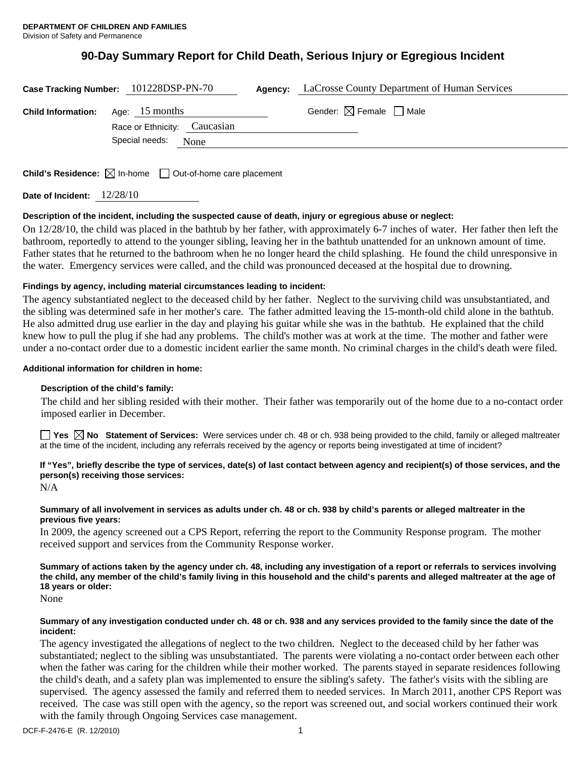# **90-Day Summary Report for Child Death, Serious Injury or Egregious Incident**

|                           | Case Tracking Number: 101228DSP-PN-70            | Agency: | LaCrosse County Department of Human Services |
|---------------------------|--------------------------------------------------|---------|----------------------------------------------|
| <b>Child Information:</b> | Age: $15$ months<br>Race or Ethnicity: Caucasian |         | Gender: $\boxtimes$ Female $\Box$ Male       |
|                           | Special needs:<br>None                           |         |                                              |
|                           |                                                  |         |                                              |

**Child's Residence:**  $\boxtimes$  In-home  $\Box$  Out-of-home care placement

**Date of Incident:** 12/28/10

## **Description of the incident, including the suspected cause of death, injury or egregious abuse or neglect:**

On 12/28/10, the child was placed in the bathtub by her father, with approximately 6-7 inches of water. Her father then left the bathroom, reportedly to attend to the younger sibling, leaving her in the bathtub unattended for an unknown amount of time. Father states that he returned to the bathroom when he no longer heard the child splashing. He found the child unresponsive in the water. Emergency services were called, and the child was pronounced deceased at the hospital due to drowning.

## **Findings by agency, including material circumstances leading to incident:**

The agency substantiated neglect to the deceased child by her father. Neglect to the surviving child was unsubstantiated, and the sibling was determined safe in her mother's care. The father admitted leaving the 15-month-old child alone in the bathtub. He also admitted drug use earlier in the day and playing his guitar while she was in the bathtub. He explained that the child knew how to pull the plug if she had any problems. The child's mother was at work at the time. The mother and father were under a no-contact order due to a domestic incident earlier the same month. No criminal charges in the child's death were filed.

## **Additional information for children in home:**

## **Description of the child's family:**

 The child and her sibling resided with their mother. Their father was temporarily out of the home due to a no-contact order imposed earlier in December.

■ Yes △ No Statement of Services: Were services under ch. 48 or ch. 938 being provided to the child, family or alleged maltreater at the time of the incident, including any referrals received by the agency or reports being investigated at time of incident?

# **If "Yes", briefly describe the type of services, date(s) of last contact between agency and recipient(s) of those services, and the person(s) receiving those services:**

N/A

## **Summary of all involvement in services as adults under ch. 48 or ch. 938 by child's parents or alleged maltreater in the previous five years:**

In 2009, the agency screened out a CPS Report, referring the report to the Community Response program. The mother received support and services from the Community Response worker.

**Summary of actions taken by the agency under ch. 48, including any investigation of a report or referrals to services involving the child, any member of the child's family living in this household and the child's parents and alleged maltreater at the age of 18 years or older:** 

None

## **Summary of any investigation conducted under ch. 48 or ch. 938 and any services provided to the family since the date of the incident:**

The agency investigated the allegations of neglect to the two children. Neglect to the deceased child by her father was substantiated; neglect to the sibling was unsubstantiated. The parents were violating a no-contact order between each other when the father was caring for the children while their mother worked. The parents stayed in separate residences following the child's death, and a safety plan was implemented to ensure the sibling's safety. The father's visits with the sibling are supervised. The agency assessed the family and referred them to needed services. In March 2011, another CPS Report was received. The case was still open with the agency, so the report was screened out, and social workers continued their work with the family through Ongoing Services case management.